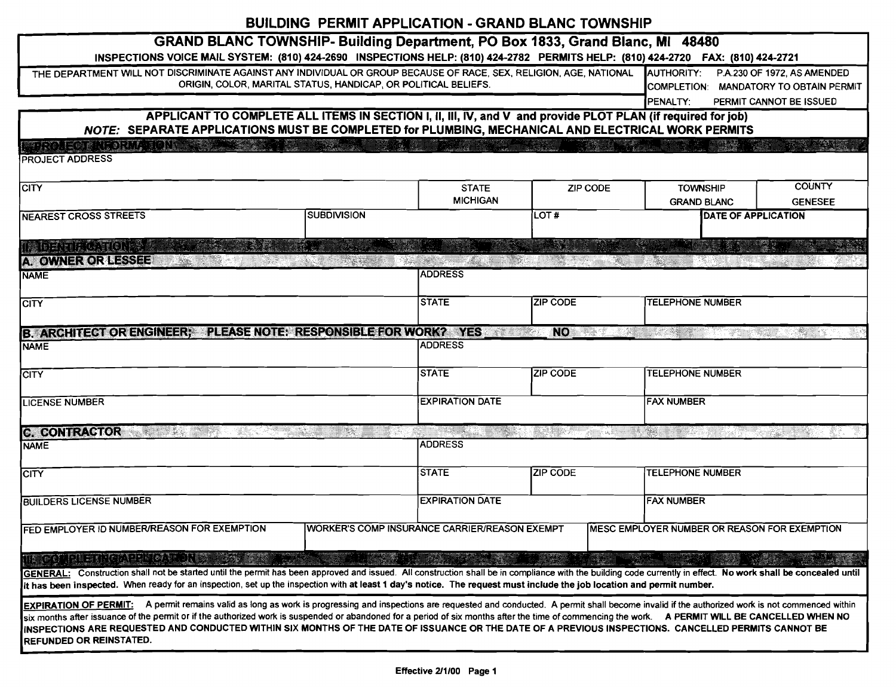## BUILDING PERMIT APPLICATION - GRAND BLANC TOWNSHIP

| GRAND BLANC TOWNSHIP- Building Department, PO Box 1833, Grand Blanc, MI 48480                                                                                                                                                                                                                                                                                                                                       |                                                                                                                                              |                                               |                 |                                                         |                         |  |  |
|---------------------------------------------------------------------------------------------------------------------------------------------------------------------------------------------------------------------------------------------------------------------------------------------------------------------------------------------------------------------------------------------------------------------|----------------------------------------------------------------------------------------------------------------------------------------------|-----------------------------------------------|-----------------|---------------------------------------------------------|-------------------------|--|--|
| INSPECTIONS VOICE MAIL SYSTEM: (810) 424-2690 INSPECTIONS HELP: (810) 424-2782 PERMITS HELP: (810) 424-2720 FAX: (810) 424-2721                                                                                                                                                                                                                                                                                     |                                                                                                                                              |                                               |                 |                                                         |                         |  |  |
| THE DEPARTMENT WILL NOT DISCRIMINATE AGAINST ANY INDIVIDUAL OR GROUP BECAUSE OF RACE, SEX, RELIGION, AGE, NATIONAL                                                                                                                                                                                                                                                                                                  | ORIGIN, COLOR, MARITAL STATUS, HANDICAP, OR POLITICAL BELIEFS.                                                                               |                                               |                 | AUTHORITY: P.A.230 OF 1972, AS AMENDED                  |                         |  |  |
|                                                                                                                                                                                                                                                                                                                                                                                                                     |                                                                                                                                              |                                               |                 | COMPLETION: MANDATORY TO OBTAIN PERMIT                  |                         |  |  |
| APPLICANT TO COMPLETE ALL ITEMS IN SECTION I, II, III, IV, and V and provide PLOT PLAN (if required for job)                                                                                                                                                                                                                                                                                                        |                                                                                                                                              |                                               |                 | PENALTY:                                                | PERMIT CANNOT BE ISSUED |  |  |
| NOTE: SEPARATE APPLICATIONS MUST BE COMPLETED for PLUMBING, MECHANICAL AND ELECTRICAL WORK PERMITS                                                                                                                                                                                                                                                                                                                  |                                                                                                                                              |                                               |                 |                                                         |                         |  |  |
| STROITEORII SINA TONDERVA                                                                                                                                                                                                                                                                                                                                                                                           |                                                                                                                                              |                                               |                 |                                                         |                         |  |  |
| PROJECT ADDRESS                                                                                                                                                                                                                                                                                                                                                                                                     |                                                                                                                                              |                                               |                 |                                                         |                         |  |  |
|                                                                                                                                                                                                                                                                                                                                                                                                                     |                                                                                                                                              |                                               |                 |                                                         | <b>COUNTY</b>           |  |  |
| <b>CITY</b>                                                                                                                                                                                                                                                                                                                                                                                                         |                                                                                                                                              | <b>STATE</b><br>ZIP CODE<br><b>MICHIGAN</b>   |                 | <b>TOWNSHIP</b><br><b>GRAND BLANC</b>                   | <b>GENESEE</b>          |  |  |
| <b>SUBDIVISION</b><br><b>NEAREST CROSS STREETS</b>                                                                                                                                                                                                                                                                                                                                                                  |                                                                                                                                              |                                               | LOT#            | <b>DATE OF APPLICATION</b>                              |                         |  |  |
|                                                                                                                                                                                                                                                                                                                                                                                                                     |                                                                                                                                              |                                               |                 |                                                         |                         |  |  |
| n: bathlacticte                                                                                                                                                                                                                                                                                                                                                                                                     |                                                                                                                                              |                                               | S.              |                                                         |                         |  |  |
| <b>A. OWNER OR LESSEE</b>                                                                                                                                                                                                                                                                                                                                                                                           |                                                                                                                                              |                                               |                 |                                                         |                         |  |  |
| <b>NAME</b>                                                                                                                                                                                                                                                                                                                                                                                                         |                                                                                                                                              | <b>ADDRESS</b>                                |                 |                                                         |                         |  |  |
| <b>CITY</b>                                                                                                                                                                                                                                                                                                                                                                                                         |                                                                                                                                              | <b>STATE</b>                                  | <b>ZIP CODE</b> | <b>TELEPHONE NUMBER</b>                                 |                         |  |  |
|                                                                                                                                                                                                                                                                                                                                                                                                                     |                                                                                                                                              |                                               |                 |                                                         |                         |  |  |
| B. ARCHITECT OR ENGINEER; PLEASE NOTE: RESPONSIBLE FOR WORK? YES                                                                                                                                                                                                                                                                                                                                                    |                                                                                                                                              |                                               | <b>NO</b>       | Martin Britannich (* 1878)<br>18 Martin Stefan (* 1818) | Indonesia K             |  |  |
| <b>NAME</b>                                                                                                                                                                                                                                                                                                                                                                                                         |                                                                                                                                              | <b>ADDRESS</b>                                |                 |                                                         |                         |  |  |
| <b>CITY</b>                                                                                                                                                                                                                                                                                                                                                                                                         |                                                                                                                                              | <b>STATE</b>                                  | <b>ZIP CODE</b> | <b>TELEPHONE NUMBER</b>                                 |                         |  |  |
|                                                                                                                                                                                                                                                                                                                                                                                                                     |                                                                                                                                              |                                               |                 |                                                         |                         |  |  |
| <b>LICENSE NUMBER</b>                                                                                                                                                                                                                                                                                                                                                                                               |                                                                                                                                              | <b>EXPIRATION DATE</b>                        |                 | <b>FAX NUMBER</b>                                       |                         |  |  |
|                                                                                                                                                                                                                                                                                                                                                                                                                     |                                                                                                                                              |                                               |                 |                                                         |                         |  |  |
| <b>C. CONTRACTOR</b><br>an di Kabupatén                                                                                                                                                                                                                                                                                                                                                                             | e eta politika<br>Kalendariako eta politika eta politika eta politika eta politika eta politika eta politika eta politika eta p<br>Geografia | <b>ADDRESS</b>                                |                 | n Mari                                                  |                         |  |  |
| <b>NAME</b>                                                                                                                                                                                                                                                                                                                                                                                                         |                                                                                                                                              |                                               |                 |                                                         |                         |  |  |
| <b>CITY</b>                                                                                                                                                                                                                                                                                                                                                                                                         |                                                                                                                                              | ISTATE                                        | <b>ZIP CODE</b> | <b>TELEPHONE NUMBER</b>                                 |                         |  |  |
|                                                                                                                                                                                                                                                                                                                                                                                                                     |                                                                                                                                              |                                               |                 |                                                         |                         |  |  |
| <b>BUILDERS LICENSE NUMBER</b>                                                                                                                                                                                                                                                                                                                                                                                      |                                                                                                                                              | <b>EXPIRATION DATE</b>                        |                 | <b>FAX NUMBER</b>                                       |                         |  |  |
| FED EMPLOYER ID NUMBER/REASON FOR EXEMPTION                                                                                                                                                                                                                                                                                                                                                                         |                                                                                                                                              | WORKER'S COMP INSURANCE CARRIER/REASON EXEMPT |                 | MESC EMPLOYER NUMBER OR REASON FOR EXEMPTION            |                         |  |  |
|                                                                                                                                                                                                                                                                                                                                                                                                                     |                                                                                                                                              |                                               |                 |                                                         |                         |  |  |
| ING PRETROAD PORT IST                                                                                                                                                                                                                                                                                                                                                                                               |                                                                                                                                              |                                               |                 |                                                         |                         |  |  |
| GENERAL: Construction shall not be started until the permit has been approved and issued. All construction shall be in compliance with the building code currently in effect. No work shall be concealed until                                                                                                                                                                                                      |                                                                                                                                              |                                               |                 |                                                         |                         |  |  |
| it has been inspected. When ready for an inspection, set up the inspection with at least 1 day's notice. The request must include the job location and permit number.                                                                                                                                                                                                                                               |                                                                                                                                              |                                               |                 |                                                         |                         |  |  |
| A permit remains valid as long as work is progressing and inspections are requested and conducted. A permit shall become invalid if the authorized work is not commenced within<br><b>EXPIRATION OF PERMIT:</b><br>six months after issuance of the permit or if the authorized work is suspended or abandoned for a period of six months after the time of commencing the work. A PERMIT WILL BE CANCELLED WHEN NO |                                                                                                                                              |                                               |                 |                                                         |                         |  |  |
| INSPECTIONS ARE REQUESTED AND CONDUCTED WITHIN SIX MONTHS OF THE DATE OF ISSUANCE OR THE DATE OF A PREVIOUS INSPECTIONS. CANCELLED PERMITS CANNOT BE                                                                                                                                                                                                                                                                |                                                                                                                                              |                                               |                 |                                                         |                         |  |  |
| <b>REFUNDED OR REINSTATED.</b>                                                                                                                                                                                                                                                                                                                                                                                      |                                                                                                                                              |                                               |                 |                                                         |                         |  |  |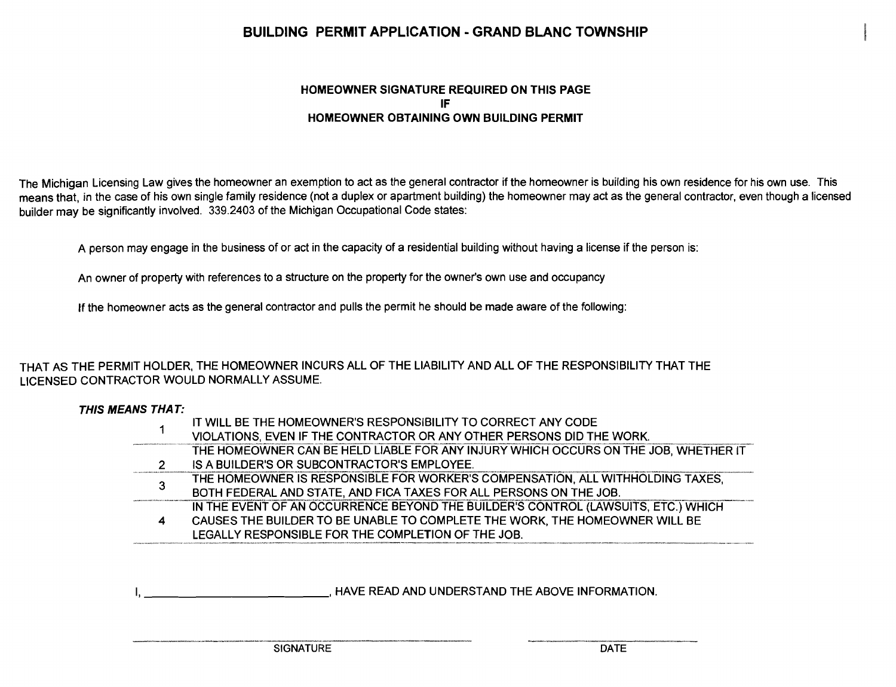# BUILDING PERMIT APPLICATION - GRAND BLANC TOWNSHIP

### HOMEOWNER SIGNATURE REQUIRED ON THIS PAGE IF HOMEOWNER OBTAINING OWN BUILDING PERMIT

The Michigan Licensing Law gives the homeowner an exemption to act as the general contractor if the homeowner is building his own residence for his own use. This means that, in the case of his own single family residence (not a duplex or apartment building) the homeowner may act as the general contractor, even though a licensed builder may be significantly involved. 339.2403 of the Michigan Occupational Code states:

A person may engage in the business of or act in the capacity of a residential building without having a license if the person is:

An owner of property with references to a structure on the property for the owner's own use and occupancy

If the homeowner acts as the general contractor and pulls the permit he should be made aware of the following:

### THAT AS THE PERMIT HOLDER, THE HOMEOWNER INCURS ALL OF THE LIABILITY AND ALL OF THE RESPONSIBILITY THAT THE LICENSED CONTRACTOR WOULD NORMALLY ASSUME.

#### THIS MEANS THAT:

|   | IT WILL BE THE HOMEOWNER'S RESPONSIBILITY TO CORRECT ANY CODE                       |
|---|-------------------------------------------------------------------------------------|
|   | VIOLATIONS, EVEN IF THE CONTRACTOR OR ANY OTHER PERSONS DID THE WORK.               |
|   | THE HOMEOWNER CAN BE HELD LIABLE FOR ANY INJURY WHICH OCCURS ON THE JOB, WHETHER IT |
| 2 | IS A BUILDER'S OR SUBCONTRACTOR'S EMPLOYEE.                                         |
| 3 | THE HOMEOWNER IS RESPONSIBLE FOR WORKER'S COMPENSATION, ALL WITHHOLDING TAXES.      |
|   | BOTH FEDERAL AND STATE, AND FICA TAXES FOR ALL PERSONS ON THE JOB.                  |
|   | IN THE EVENT OF AN OCCURRENCE BEYOND THE BUILDER'S CONTROL (LAWSUITS, ETC.) WHICH   |
| 4 | CAUSES THE BUILDER TO BE UNABLE TO COMPLETE THE WORK, THE HOMEOWNER WILL BE         |
|   | LEGALLY RESPONSIBLE FOR THE COMPLETION OF THE JOB.                                  |

I, HAVE READ AND UNDERSTAND THE ABOVE INFORMATION.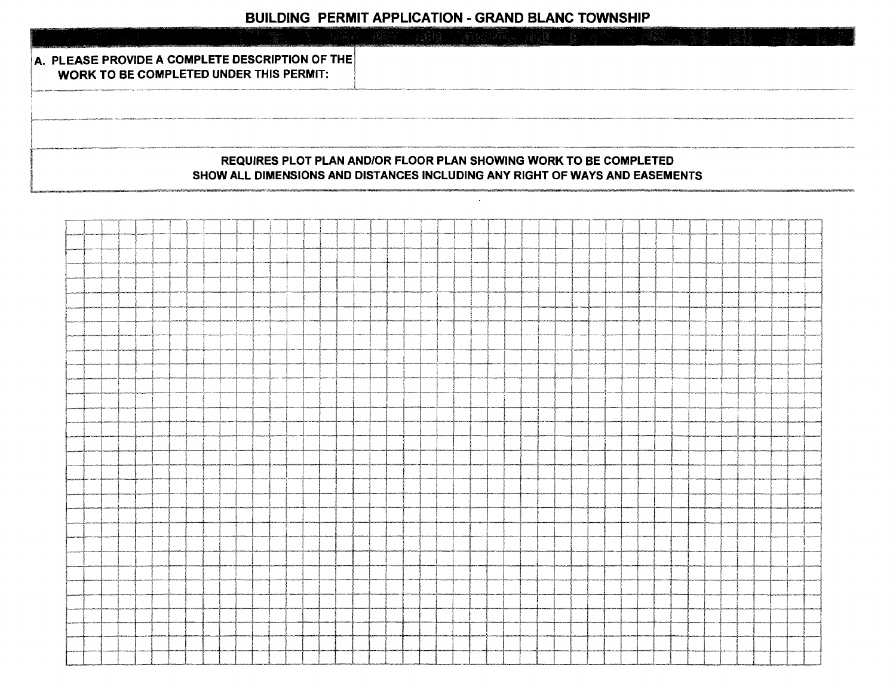| A. PLEASE PROVIDE A COMPLETE DESCRIPTION OF THE<br><b>WORK TO BE COMPLETED UNDER THIS PERMIT:</b>                                                       |  |  |  |
|---------------------------------------------------------------------------------------------------------------------------------------------------------|--|--|--|
|                                                                                                                                                         |  |  |  |
|                                                                                                                                                         |  |  |  |
| <b>REQUIRES PLOT PLAN AND/OR FLOOR PLAN SHOWING WORK TO BE COMPLETED</b><br>SHOW ALL DIMENSIONS AND DISTANCES INCLUDING ANY RIGHT OF WAYS AND EASEMENTS |  |  |  |